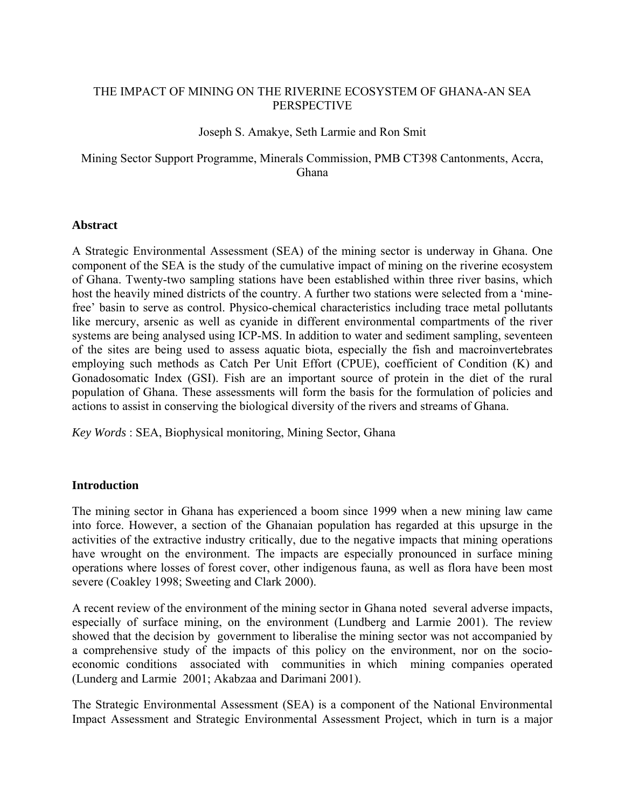# THE IMPACT OF MINING ON THE RIVERINE ECOSYSTEM OF GHANA-AN SEA **PERSPECTIVE**

# Joseph S. Amakye, Seth Larmie and Ron Smit

# Mining Sector Support Programme, Minerals Commission, PMB CT398 Cantonments, Accra, Ghana

## **Abstract**

A Strategic Environmental Assessment (SEA) of the mining sector is underway in Ghana. One component of the SEA is the study of the cumulative impact of mining on the riverine ecosystem of Ghana. Twenty-two sampling stations have been established within three river basins, which host the heavily mined districts of the country. A further two stations were selected from a 'minefree' basin to serve as control. Physico-chemical characteristics including trace metal pollutants like mercury, arsenic as well as cyanide in different environmental compartments of the river systems are being analysed using ICP-MS. In addition to water and sediment sampling, seventeen of the sites are being used to assess aquatic biota, especially the fish and macroinvertebrates employing such methods as Catch Per Unit Effort (CPUE), coefficient of Condition (K) and Gonadosomatic Index (GSI). Fish are an important source of protein in the diet of the rural population of Ghana. These assessments will form the basis for the formulation of policies and actions to assist in conserving the biological diversity of the rivers and streams of Ghana.

*Key Words* : SEA, Biophysical monitoring, Mining Sector, Ghana

# **Introduction**

The mining sector in Ghana has experienced a boom since 1999 when a new mining law came into force. However, a section of the Ghanaian population has regarded at this upsurge in the activities of the extractive industry critically, due to the negative impacts that mining operations have wrought on the environment. The impacts are especially pronounced in surface mining operations where losses of forest cover, other indigenous fauna, as well as flora have been most severe (Coakley 1998; Sweeting and Clark 2000).

A recent review of the environment of the mining sector in Ghana noted several adverse impacts, especially of surface mining, on the environment (Lundberg and Larmie 2001). The review showed that the decision by government to liberalise the mining sector was not accompanied by a comprehensive study of the impacts of this policy on the environment, nor on the socioeconomic conditions associated with communities in which mining companies operated (Lunderg and Larmie 2001; Akabzaa and Darimani 2001).

The Strategic Environmental Assessment (SEA) is a component of the National Environmental Impact Assessment and Strategic Environmental Assessment Project, which in turn is a major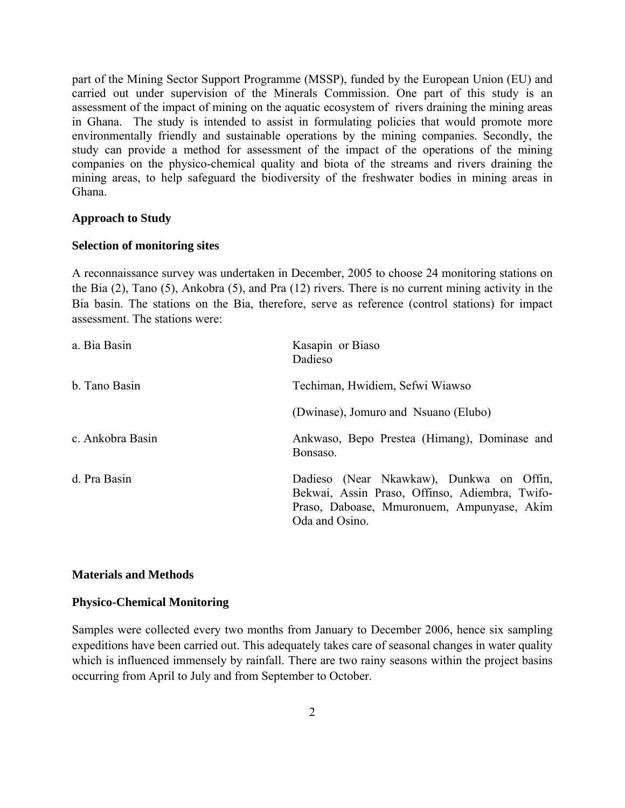part of the Mining Sector Support Programme (MSSP), funded by the European Union (EU) and carried out under supervision of the Minerals Commission. One part of this study is an assessment of the impact of mining on the aquatic ecosystem of rivers draining the mining areas in Ghana. The study is intended to assist in formulating policies that would promote more environmentally friendly and sustainable operations by the mining companies. Secondly, the study can provide a method for assessment of the impact of the operations of the mining companies on the physico-chemical quality and biota of the streams and rivers draining the mining areas, to help safeguard the biodiversity of the freshwater bodies in mining areas in Ghana.

## **Approach to Study**

## **Selection of monitoring sites**

A reconnaissance survey was undertaken in December, 2005 to choose 24 monitoring stations on the Bia (2), Tano (5), Ankobra (5), and Pra (12) rivers. There is no current mining activity in the Bia basin. The stations on the Bia, therefore, serve as reference (control stations) for impact assessment. The stations were:

| a. Bia Basin     | Kasapin or Biaso<br>Dadieso                                                                                                                                |  |
|------------------|------------------------------------------------------------------------------------------------------------------------------------------------------------|--|
| b. Tano Basin    | Techiman, Hwidiem, Sefwi Wiawso                                                                                                                            |  |
|                  | (Dwinase), Jomuro and Nsuano (Elubo)                                                                                                                       |  |
| c. Ankobra Basin | Ankwaso, Bepo Prestea (Himang), Dominase and<br>Bonsaso.                                                                                                   |  |
| d. Pra Basin     | Dadieso (Near Nkawkaw), Dunkwa on Offin,<br>Bekwai, Assin Praso, Offinso, Adiembra, Twifo-<br>Praso, Daboase, Mmuronuem, Ampunyase, Akim<br>Oda and Osino. |  |

## **Materials and Methods**

## **Physico-Chemical Monitoring**

Samples were collected every two months from January to December 2006, hence six sampling expeditions have been carried out. This adequately takes care of seasonal changes in water quality which is influenced immensely by rainfall. There are two rainy seasons within the project basins occurring from April to July and from September to October.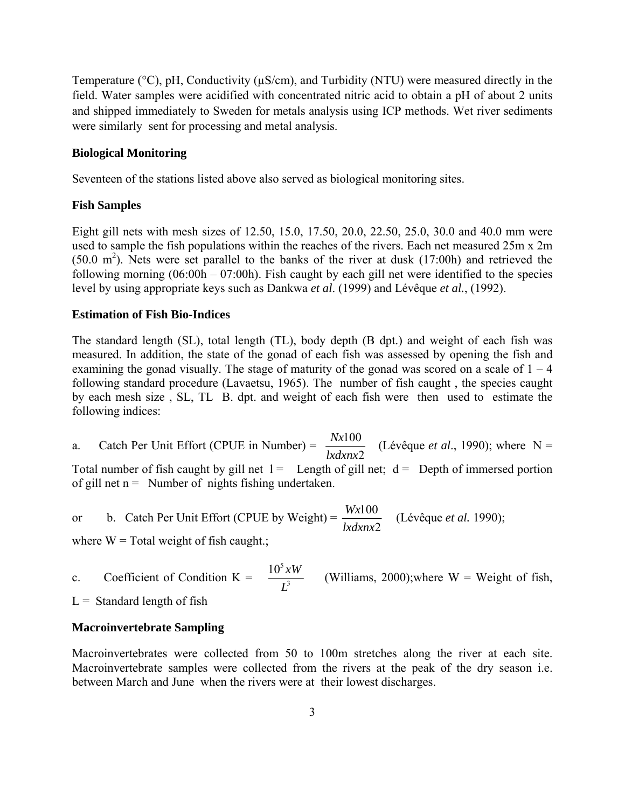Temperature (°C), pH, Conductivity (µS/cm), and Turbidity (NTU) were measured directly in the field. Water samples were acidified with concentrated nitric acid to obtain a pH of about 2 units and shipped immediately to Sweden for metals analysis using ICP methods. Wet river sediments were similarly sent for processing and metal analysis.

## **Biological Monitoring**

Seventeen of the stations listed above also served as biological monitoring sites.

## **Fish Samples**

Eight gill nets with mesh sizes of 12.50, 15.0, 17.50, 20.0, 22.50, 25.0, 30.0 and 40.0 mm were used to sample the fish populations within the reaches of the rivers. Each net measured 25m x 2m  $(50.0 \text{ m}^2)$ . Nets were set parallel to the banks of the river at dusk  $(17:00h)$  and retrieved the following morning  $(06:00h - 07:00h)$ . Fish caught by each gill net were identified to the species level by using appropriate keys such as Dankwa *et al*. (1999) and Lévêque *et al.*, (1992).

## **Estimation of Fish Bio-Indices**

The standard length (SL), total length (TL), body depth (B dpt.) and weight of each fish was measured. In addition, the state of the gonad of each fish was assessed by opening the fish and examining the gonad visually. The stage of maturity of the gonad was scored on a scale of  $1 - 4$ following standard procedure (Lavaetsu, 1965). The number of fish caught , the species caught by each mesh size , SL, TL B. dpt. and weight of each fish were then used to estimate the following indices:

a. Catch Per Unit Effort (CPUE in Number) =  $\frac{Nx100}{lxdnx2}$ *lxdxnx*  $\frac{Nx100}{x}$  (Lévêque *et al.*, 1990); where N = Total number of fish caught by gill net  $l =$  Length of gill net;  $d =$  Depth of immersed portion of gill net  $n =$  Number of nights fishing undertaken.

or b. Catch Per Unit Effort (CPUE by Weight) =  $\frac{Wx100}{lxdrnx2}$ *lxdxnx*  $\frac{Wx100}{Wx100}$  (Lévêque *et al.* 1990);

where  $W = Total weight of fish caught$ .;

c. Coefficient of Condition K =  $\frac{10 \text{ A}}{I^3}$  $10^{5}$ *L*  $\frac{xW}{x}$  (Williams, 2000);where W = Weight of fish,

 $L =$  Standard length of fish

## **Macroinvertebrate Sampling**

Macroinvertebrates were collected from 50 to 100m stretches along the river at each site. Macroinvertebrate samples were collected from the rivers at the peak of the dry season i.e. between March and June when the rivers were at their lowest discharges.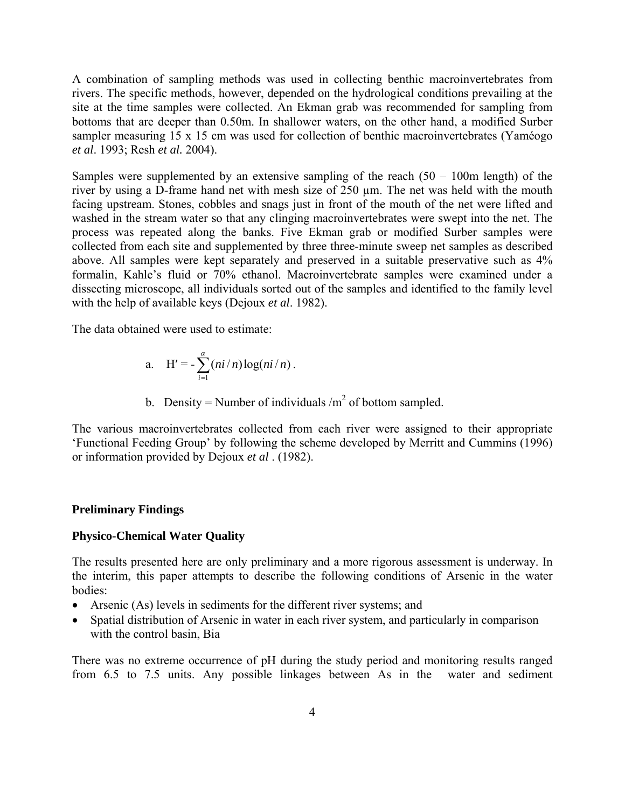A combination of sampling methods was used in collecting benthic macroinvertebrates from rivers. The specific methods, however, depended on the hydrological conditions prevailing at the site at the time samples were collected. An Ekman grab was recommended for sampling from bottoms that are deeper than 0.50m. In shallower waters, on the other hand, a modified Surber sampler measuring 15 x 15 cm was used for collection of benthic macroinvertebrates (Yaméogo *et al*. 1993; Resh *et al.* 2004).

Samples were supplemented by an extensive sampling of the reach  $(50 - 100m \text{ length})$  of the river by using a D-frame hand net with mesh size of 250 µm. The net was held with the mouth facing upstream. Stones, cobbles and snags just in front of the mouth of the net were lifted and washed in the stream water so that any clinging macroinvertebrates were swept into the net. The process was repeated along the banks. Five Ekman grab or modified Surber samples were collected from each site and supplemented by three three-minute sweep net samples as described above. All samples were kept separately and preserved in a suitable preservative such as 4% formalin, Kahle's fluid or 70% ethanol. Macroinvertebrate samples were examined under a dissecting microscope, all individuals sorted out of the samples and identified to the family level with the help of available keys (Dejoux *et al*. 1982).

The data obtained were used to estimate:

a. 
$$
H' = -\sum_{i=1}^{\alpha} (ni/n) \log(ni/n).
$$

b. Density = Number of individuals  $/m<sup>2</sup>$  of bottom sampled.

The various macroinvertebrates collected from each river were assigned to their appropriate 'Functional Feeding Group' by following the scheme developed by Merritt and Cummins (1996) or information provided by Dejoux *et al* . (1982).

#### **Preliminary Findings**

#### **Physico-Chemical Water Quality**

The results presented here are only preliminary and a more rigorous assessment is underway. In the interim, this paper attempts to describe the following conditions of Arsenic in the water bodies:

- Arsenic (As) levels in sediments for the different river systems; and
- Spatial distribution of Arsenic in water in each river system, and particularly in comparison with the control basin, Bia

There was no extreme occurrence of pH during the study period and monitoring results ranged from 6.5 to 7.5 units. Any possible linkages between As in the water and sediment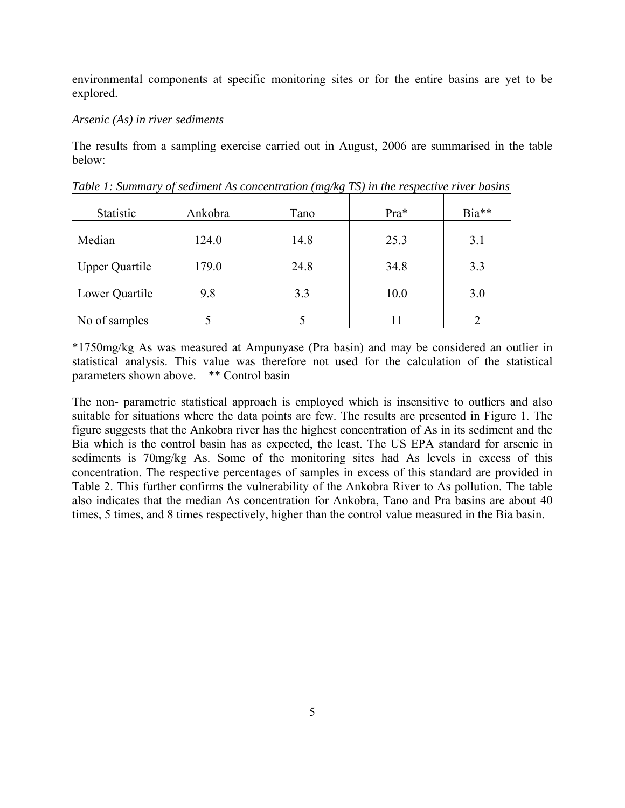environmental components at specific monitoring sites or for the entire basins are yet to be explored.

## *Arsenic (As) in river sediments*

The results from a sampling exercise carried out in August, 2006 are summarised in the table below:

| Statistic             | Ankobra | Tano | Pra* | Bia** |
|-----------------------|---------|------|------|-------|
| Median                | 124.0   | 14.8 | 25.3 | 3.1   |
| <b>Upper Quartile</b> | 179.0   | 24.8 | 34.8 | 3.3   |
| Lower Quartile        | 9.8     | 3.3  | 10.0 | 3.0   |
| No of samples         |         |      |      |       |

*Table 1: Summary of sediment As concentration (mg/kg TS) in the respective river basins* 

\*1750mg/kg As was measured at Ampunyase (Pra basin) and may be considered an outlier in statistical analysis. This value was therefore not used for the calculation of the statistical parameters shown above. \*\* Control basin

The non- parametric statistical approach is employed which is insensitive to outliers and also suitable for situations where the data points are few. The results are presented in Figure 1. The figure suggests that the Ankobra river has the highest concentration of As in its sediment and the Bia which is the control basin has as expected, the least. The US EPA standard for arsenic in sediments is 70mg/kg As. Some of the monitoring sites had As levels in excess of this concentration. The respective percentages of samples in excess of this standard are provided in Table 2. This further confirms the vulnerability of the Ankobra River to As pollution. The table also indicates that the median As concentration for Ankobra, Tano and Pra basins are about 40 times, 5 times, and 8 times respectively, higher than the control value measured in the Bia basin.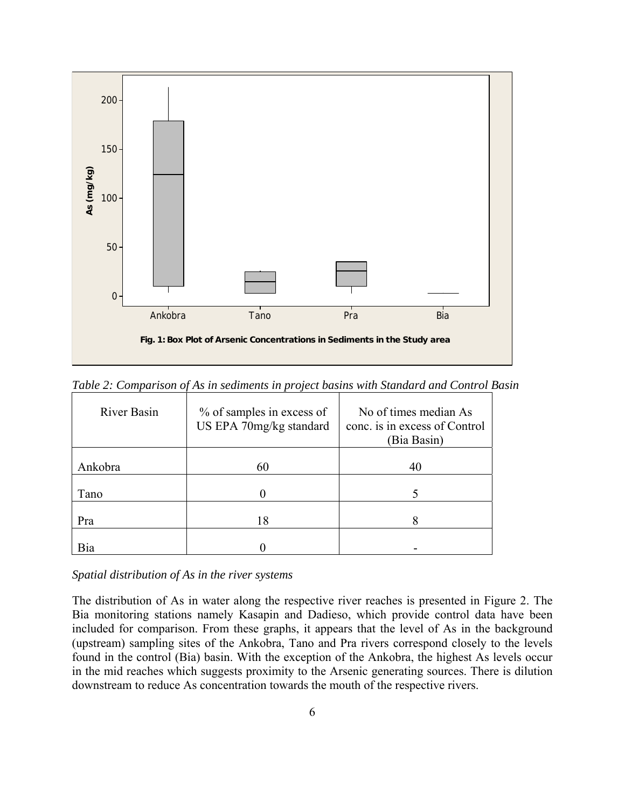

*Table 2: Comparison of As in sediments in project basins with Standard and Control Basin* 

| River Basin | % of samples in excess of<br>US EPA 70mg/kg standard | No of times median As<br>conc. is in excess of Control<br>(Bia Basin) |
|-------------|------------------------------------------------------|-----------------------------------------------------------------------|
| Ankobra     | 60                                                   | 40                                                                    |
|             |                                                      |                                                                       |
| Tano        |                                                      |                                                                       |
|             |                                                      |                                                                       |
| Pra         | 18                                                   |                                                                       |
|             |                                                      |                                                                       |
| Bia         |                                                      |                                                                       |

*Spatial distribution of As in the river systems* 

The distribution of As in water along the respective river reaches is presented in Figure 2. The Bia monitoring stations namely Kasapin and Dadieso, which provide control data have been included for comparison. From these graphs, it appears that the level of As in the background (upstream) sampling sites of the Ankobra, Tano and Pra rivers correspond closely to the levels found in the control (Bia) basin. With the exception of the Ankobra, the highest As levels occur in the mid reaches which suggests proximity to the Arsenic generating sources. There is dilution downstream to reduce As concentration towards the mouth of the respective rivers.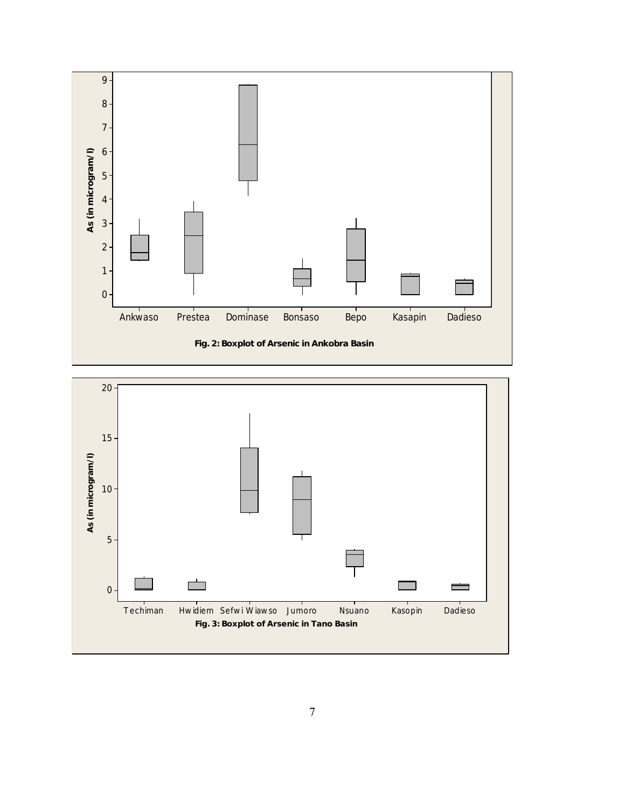

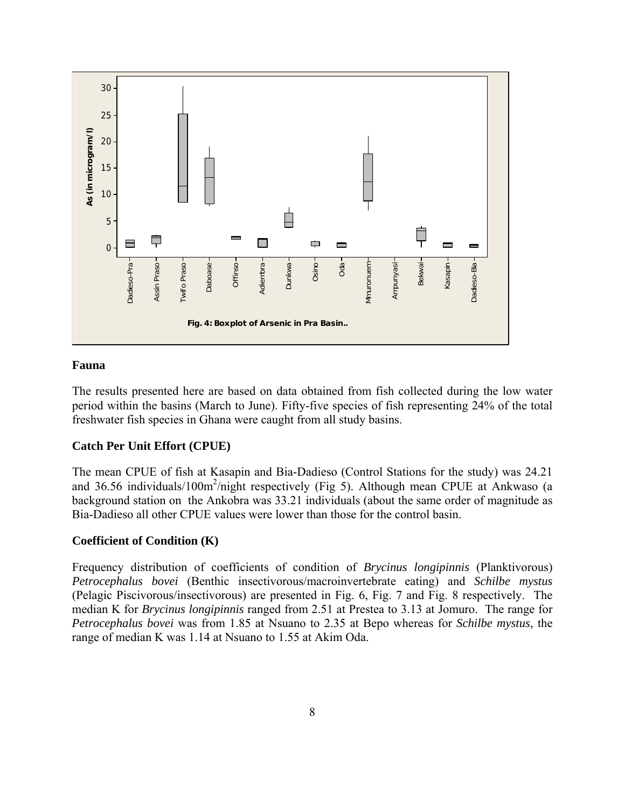

## **Fauna**

The results presented here are based on data obtained from fish collected during the low water period within the basins (March to June). Fifty-five species of fish representing 24% of the total freshwater fish species in Ghana were caught from all study basins.

# **Catch Per Unit Effort (CPUE)**

The mean CPUE of fish at Kasapin and Bia-Dadieso (Control Stations for the study) was 24.21 and 36.56 individuals/100m<sup>2</sup>/night respectively (Fig 5). Although mean CPUE at Ankwaso (a background station on the Ankobra was 33.21 individuals (about the same order of magnitude as Bia-Dadieso all other CPUE values were lower than those for the control basin.

## **Coefficient of Condition (K)**

Frequency distribution of coefficients of condition of *Brycinus longipinnis* (Planktivorous) *Petrocephalus bovei* (Benthic insectivorous/macroinvertebrate eating) and *Schilbe mystus* (Pelagic Piscivorous/insectivorous) are presented in Fig. 6, Fig. 7 and Fig. 8 respectively. The median K for *Brycinus longipinnis* ranged from 2.51 at Prestea to 3.13 at Jomuro. The range for *Petrocephalus bovei* was from 1.85 at Nsuano to 2.35 at Bepo whereas for *Schilbe mystus,* the range of median K was 1.14 at Nsuano to 1.55 at Akim Oda.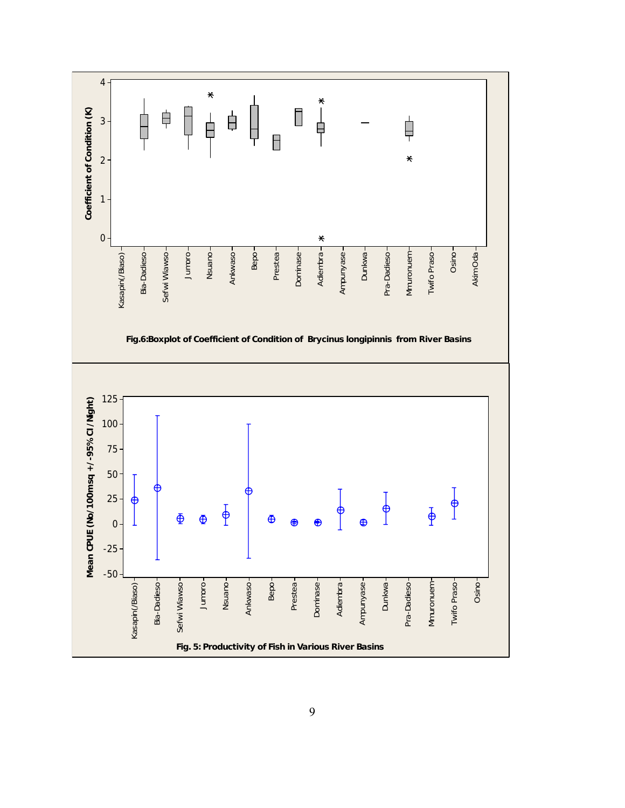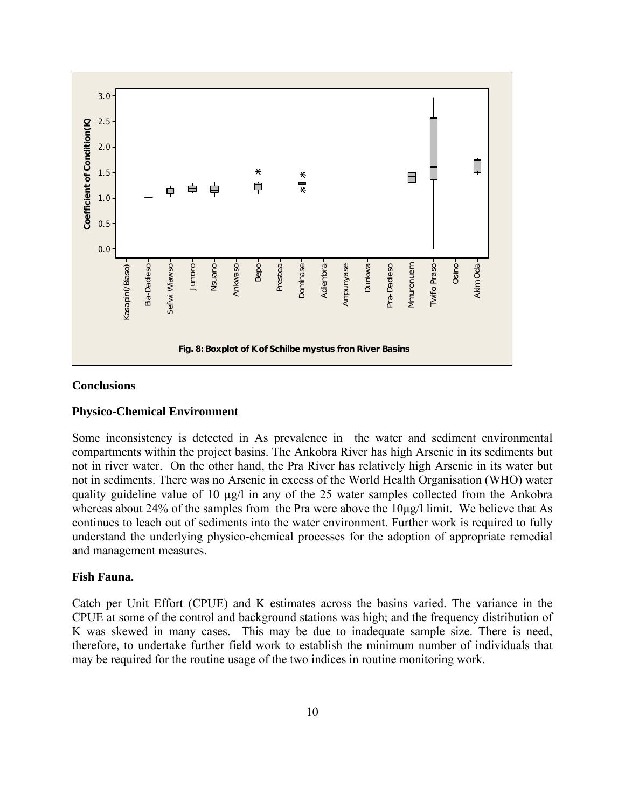

#### **Conclusions**

#### **Physico-Chemical Environment**

Some inconsistency is detected in As prevalence in the water and sediment environmental compartments within the project basins. The Ankobra River has high Arsenic in its sediments but not in river water. On the other hand, the Pra River has relatively high Arsenic in its water but not in sediments. There was no Arsenic in excess of the World Health Organisation (WHO) water quality guideline value of 10 µg/l in any of the 25 water samples collected from the Ankobra whereas about 24% of the samples from the Pra were above the  $10\mu g/l$  limit. We believe that As continues to leach out of sediments into the water environment. Further work is required to fully understand the underlying physico-chemical processes for the adoption of appropriate remedial and management measures.

# **Fish Fauna.**

Catch per Unit Effort (CPUE) and K estimates across the basins varied. The variance in the CPUE at some of the control and background stations was high; and the frequency distribution of K was skewed in many cases. This may be due to inadequate sample size. There is need, therefore, to undertake further field work to establish the minimum number of individuals that may be required for the routine usage of the two indices in routine monitoring work.